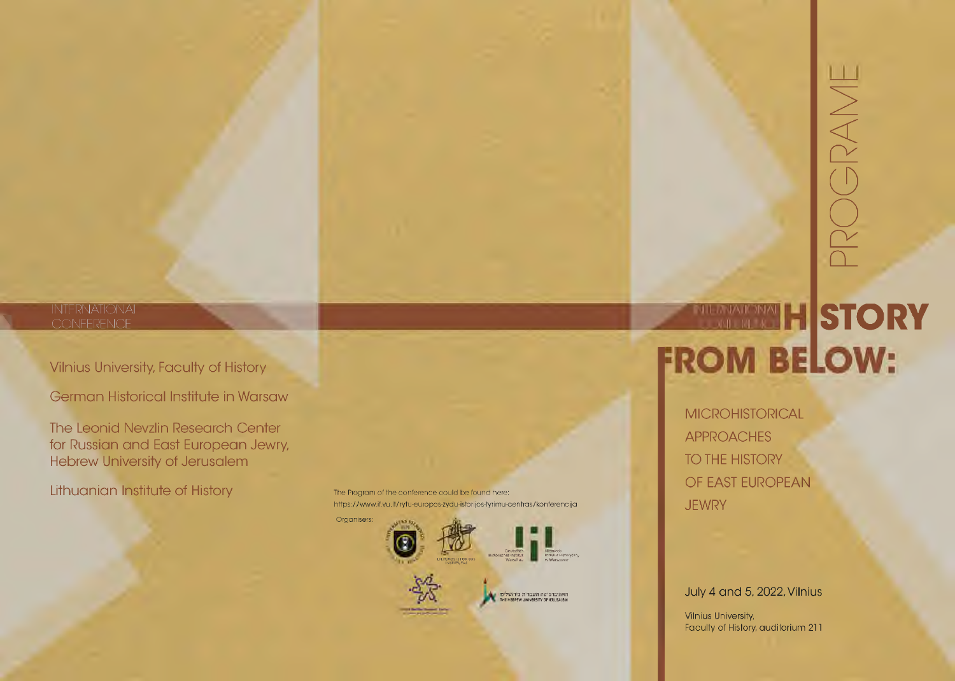# INTERNATIONAL

Vilnius University, Faculty of History

German Historical Institute in Warsaw

The Leonid Nevzlin Research Center for Russian and East European Jewry, Hebrew University of Jerusalem

Lithuanian Institute of History

The Program of the conference could be found here: https://www.if.vu.lt/rytu-europos-zydu-istorijos-tyrimu-centras/konferencija



# INTERNATIONAL CONFERENCE **FROM BELOW:**

PROGRAME

**MICROHISTORICAL** APPROACHES TO THE HISTORY OF EAST EUROPEAN **JEWRY** 

## July 4 and 5, 2022, Vilnius

Vilnius University, Faculty of History, auditorium 211